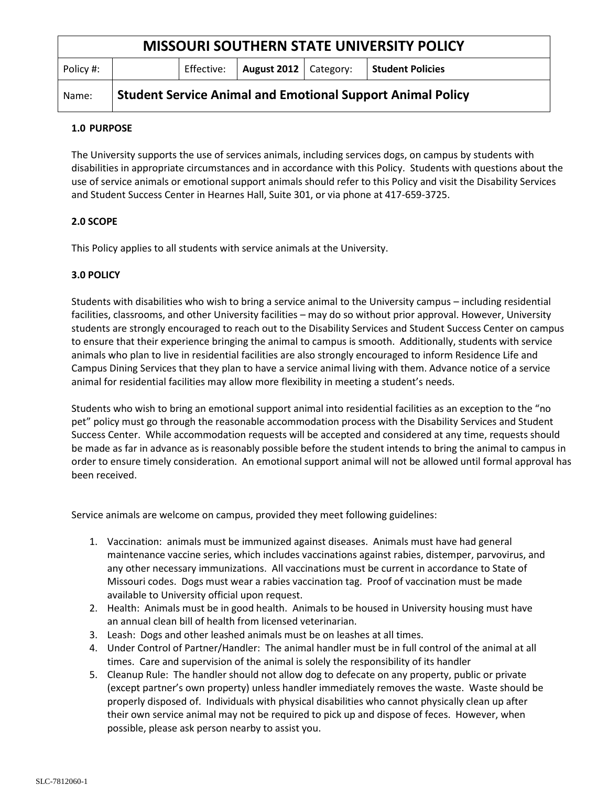| <b>MISSOURI SOUTHERN STATE UNIVERSITY POLICY</b> |                                                                   |            |                         |  |                         |
|--------------------------------------------------|-------------------------------------------------------------------|------------|-------------------------|--|-------------------------|
| Policy #:                                        |                                                                   | Effective: | August 2012   Category: |  | <b>Student Policies</b> |
| Name:                                            | <b>Student Service Animal and Emotional Support Animal Policy</b> |            |                         |  |                         |

# **1.0 PURPOSE**

The University supports the use of services animals, including services dogs, on campus by students with disabilities in appropriate circumstances and in accordance with this Policy. Students with questions about the use of service animals or emotional support animals should refer to this Policy and visit the Disability Services and Student Success Center in Hearnes Hall, Suite 301, or via phone at 417-659-3725.

# **2.0 SCOPE**

This Policy applies to all students with service animals at the University.

# **3.0 POLICY**

Students with disabilities who wish to bring a service animal to the University campus – including residential facilities, classrooms, and other University facilities – may do so without prior approval. However, University students are strongly encouraged to reach out to the Disability Services and Student Success Center on campus to ensure that their experience bringing the animal to campus is smooth. Additionally, students with service animals who plan to live in residential facilities are also strongly encouraged to inform Residence Life and Campus Dining Services that they plan to have a service animal living with them. Advance notice of a service animal for residential facilities may allow more flexibility in meeting a student's needs.

Students who wish to bring an emotional support animal into residential facilities as an exception to the "no pet" policy must go through the reasonable accommodation process with the Disability Services and Student Success Center. While accommodation requests will be accepted and considered at any time, requests should be made as far in advance as is reasonably possible before the student intends to bring the animal to campus in order to ensure timely consideration. An emotional support animal will not be allowed until formal approval has been received.

Service animals are welcome on campus, provided they meet following guidelines:

- 1. Vaccination: animals must be immunized against diseases. Animals must have had general maintenance vaccine series, which includes vaccinations against rabies, distemper, parvovirus, and any other necessary immunizations. All vaccinations must be current in accordance to State of Missouri codes. Dogs must wear a rabies vaccination tag. Proof of vaccination must be made available to University official upon request.
- 2. Health: Animals must be in good health. Animals to be housed in University housing must have an annual clean bill of health from licensed veterinarian.
- 3. Leash: Dogs and other leashed animals must be on leashes at all times.
- 4. Under Control of Partner/Handler: The animal handler must be in full control of the animal at all times. Care and supervision of the animal is solely the responsibility of its handler
- 5. Cleanup Rule: The handler should not allow dog to defecate on any property, public or private (except partner's own property) unless handler immediately removes the waste. Waste should be properly disposed of. Individuals with physical disabilities who cannot physically clean up after their own service animal may not be required to pick up and dispose of feces. However, when possible, please ask person nearby to assist you.